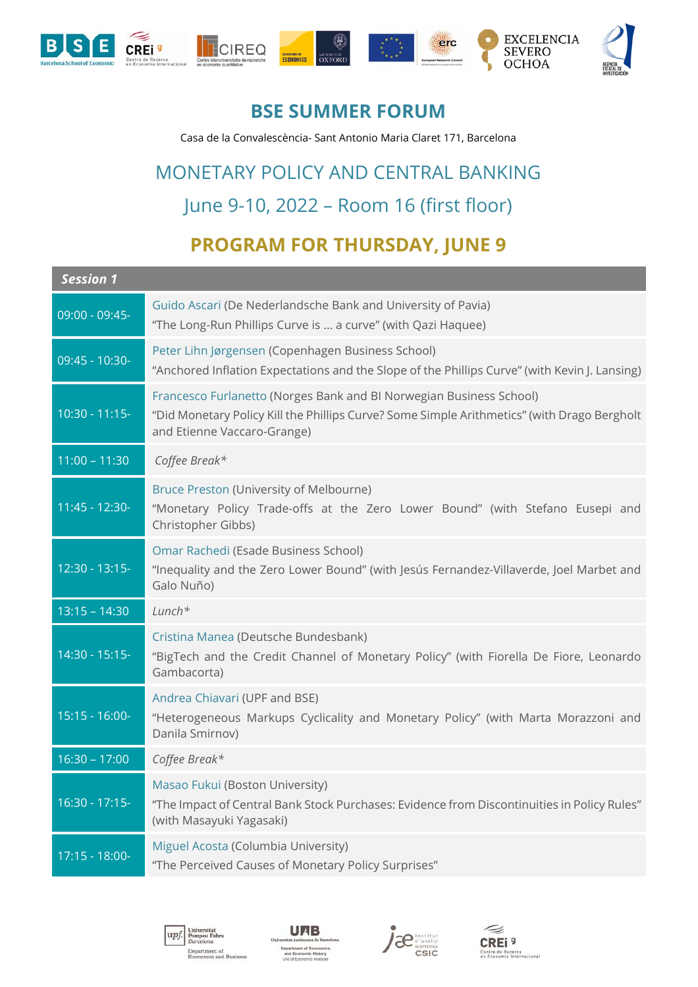

#### **BSE SUMMER FORUM**

Casa de la Convalescència- Sant Antonio Maria Claret 171, Barcelona

# MONETARY POLICY AND CENTRAL BANKING June 9-10, 2022 – Room 16 (first floor)

## **PROGRAM FOR THURSDAY, JUNE 9**

| <b>Session 1</b>  |                                                                                                                                                                                                   |
|-------------------|---------------------------------------------------------------------------------------------------------------------------------------------------------------------------------------------------|
| 09:00 - 09:45-    | Guido Ascari (De Nederlandsche Bank and University of Pavia)<br>"The Long-Run Phillips Curve is  a curve" (with Qazi Haquee)                                                                      |
| 09:45 - 10:30-    | Peter Lihn Jørgensen (Copenhagen Business School)<br>"Anchored Inflation Expectations and the Slope of the Phillips Curve" (with Kevin J. Lansing)                                                |
| $10:30 - 11:15$   | Francesco Furlanetto (Norges Bank and BI Norwegian Business School)<br>"Did Monetary Policy Kill the Phillips Curve? Some Simple Arithmetics" (with Drago Bergholt<br>and Etienne Vaccaro-Grange) |
| $11:00 - 11:30$   | Coffee Break*                                                                                                                                                                                     |
| $11:45 - 12:30 -$ | Bruce Preston (University of Melbourne)<br>"Monetary Policy Trade-offs at the Zero Lower Bound" (with Stefano Eusepi and<br>Christopher Gibbs)                                                    |
| $12:30 - 13:15 -$ | Omar Rachedi (Esade Business School)<br>"Inequality and the Zero Lower Bound" (with Jesús Fernandez-Villaverde, Joel Marbet and<br>Galo Nuño)                                                     |
| $13:15 - 14:30$   | $Lunch*$                                                                                                                                                                                          |
| 14:30 - 15:15-    | Cristina Manea (Deutsche Bundesbank)<br>"BigTech and the Credit Channel of Monetary Policy" (with Fiorella De Fiore, Leonardo<br>Gambacorta)                                                      |
| $15:15 - 16:00 -$ | Andrea Chiavari (UPF and BSE)<br>"Heterogeneous Markups Cyclicality and Monetary Policy" (with Marta Morazzoni and<br>Danila Smirnov)                                                             |
| $16:30 - 17:00$   | Coffee Break*                                                                                                                                                                                     |
| $16:30 - 17:15 -$ | Masao Fukui (Boston University)<br>"The Impact of Central Bank Stock Purchases: Evidence from Discontinuities in Policy Rules"<br>(with Masayuki Yagasaki)                                        |
| 17:15 - 18:00-    | Miguel Acosta (Columbia University)<br>"The Perceived Causes of Monetary Policy Surprises"                                                                                                        |